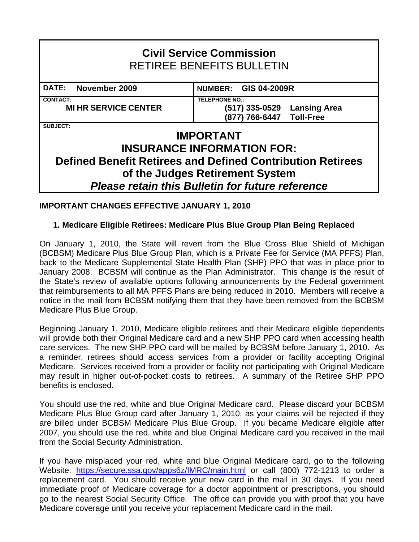# **Civil Service Commission**  RETIREE BENEFITS BULLETIN DATE: November 2009 **NUMBER: GIS 04-2009R CONTACT: TELEPHONE NO.: MI HR SERVICE CENTER (517) 335-0529 Lansing Area (877) 766-6447 Toll-Free SUBJECT: IMPORTANT INSURANCE INFORMATION FOR: Defined Benefit Retirees and Defined Contribution Retirees of the Judges Retirement System**  *Please retain this Bulletin for future reference*

# **IMPORTANT CHANGES EFFECTIVE JANUARY 1, 2010**

# **1. Medicare Eligible Retirees: Medicare Plus Blue Group Plan Being Replaced**

On January 1, 2010, the State will revert from the Blue Cross Blue Shield of Michigan (BCBSM) Medicare Plus Blue Group Plan, which is a Private Fee for Service (MA PFFS) Plan, back to the Medicare Supplemental State Health Plan (SHP) PPO that was in place prior to January 2008. BCBSM will continue as the Plan Administrator. This change is the result of the State's review of available options following announcements by the Federal government that reimbursements to all MA PFFS Plans are being reduced in 2010. Members will receive a notice in the mail from BCBSM notifying them that they have been removed from the BCBSM Medicare Plus Blue Group.

Beginning January 1, 2010, Medicare eligible retirees and their Medicare eligible dependents will provide both their Original Medicare card and a new SHP PPO card when accessing health care services. The new SHP PPO card will be mailed by BCBSM before January 1, 2010. As a reminder, retirees should access services from a provider or facility accepting Original Medicare. Services received from a provider or facility not participating with Original Medicare may result in higher out-of-pocket costs to retirees. A summary of the Retiree SHP PPO benefits is enclosed.

You should use the red, white and blue Original Medicare card. Please discard your BCBSM Medicare Plus Blue Group card after January 1, 2010, as your claims will be rejected if they are billed under BCBSM Medicare Plus Blue Group. If you became Medicare eligible after 2007, you should use the red, white and blue Original Medicare card you received in the mail from the Social Security Administration.

If you have misplaced your red, white and blue Original Medicare card, go to the following Website: https://secure.ssa.gov/apps6z/IMRC/main.html or call (800) 772-1213 to order a replacement card. You should receive your new card in the mail in 30 days. If you need immediate proof of Medicare coverage for a doctor appointment or prescriptions, you should go to the nearest Social Security Office. The office can provide you with proof that you have Medicare coverage until you receive your replacement Medicare card in the mail.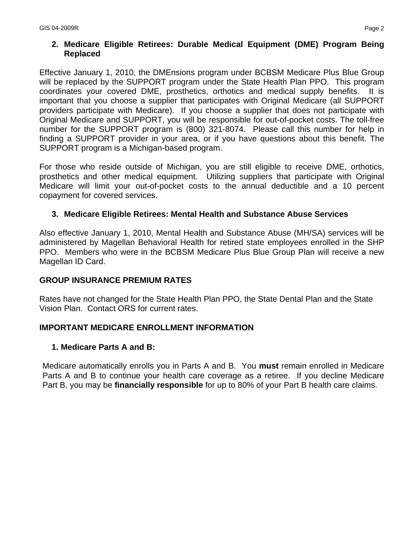## **2. Medicare Eligible Retirees: Durable Medical Equipment (DME) Program Being Replaced**

Effective January 1, 2010, the DMEnsions program under BCBSM Medicare Plus Blue Group will be replaced by the SUPPORT program under the State Health Plan PPO. This program coordinates your covered DME, prosthetics, orthotics and medical supply benefits. It is important that you choose a supplier that participates with Original Medicare (all SUPPORT providers participate with Medicare). If you choose a supplier that does not participate with Original Medicare and SUPPORT, you will be responsible for out-of-pocket costs. The toll-free number for the SUPPORT program is (800) 321-8074. Please call this number for help in finding a SUPPORT provider in your area, or if you have questions about this benefit. The SUPPORT program is a Michigan-based program.

For those who reside outside of Michigan, you are still eligible to receive DME, orthotics, prosthetics and other medical equipment. Utilizing suppliers that participate with Original Medicare will limit your out-of-pocket costs to the annual deductible and a 10 percent copayment for covered services.

### **3. Medicare Eligible Retirees: Mental Health and Substance Abuse Services**

Also effective January 1, 2010, Mental Health and Substance Abuse (MH/SA) services will be administered by Magellan Behavioral Health for retired state employees enrolled in the SHP PPO. Members who were in the BCBSM Medicare Plus Blue Group Plan will receive a new Magellan ID Card.

### **GROUP INSURANCE PREMIUM RATES**

Rates have not changed for the State Health Plan PPO, the State Dental Plan and the State Vision Plan. Contact ORS for current rates.

### **IMPORTANT MEDICARE ENROLLMENT INFORMATION**

#### **1. Medicare Parts A and B:**

Medicare automatically enrolls you in Parts A and B. You **must** remain enrolled in Medicare Parts A and B to continue your health care coverage as a retiree. If you decline Medicare Part B, you may be **financially responsible** for up to 80% of your Part B health care claims.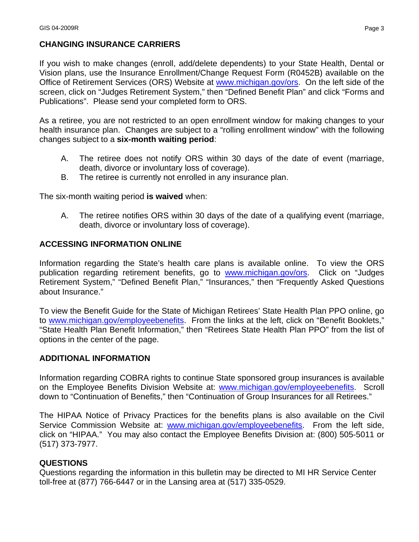## **CHANGING INSURANCE CARRIERS**

If you wish to make changes (enroll, add/delete dependents) to your State Health, Dental or Vision plans, use the Insurance Enrollment/Change Request Form (R0452B) available on the Office of Retirement Services (ORS) Website at www.michigan.gov/ors. On the left side of the screen, click on "Judges Retirement System," then "Defined Benefit Plan" and click "Forms and Publications". Please send your completed form to ORS.

As a retiree, you are not restricted to an open enrollment window for making changes to your health insurance plan. Changes are subject to a "rolling enrollment window" with the following changes subject to a **six-month waiting period**:

- A. The retiree does not notify ORS within 30 days of the date of event (marriage, death, divorce or involuntary loss of coverage).
- B. The retiree is currently not enrolled in any insurance plan.

The six-month waiting period **is waived** when:

A. The retiree notifies ORS within 30 days of the date of a qualifying event (marriage, death, divorce or involuntary loss of coverage).

#### **ACCESSING INFORMATION ONLINE**

Information regarding the State's health care plans is available online. To view the ORS publication regarding retirement benefits, go to www.michigan.gov/ors. Click on "Judges Retirement System," "Defined Benefit Plan," "Insurances," then "Frequently Asked Questions about Insurance."

To view the Benefit Guide for the State of Michigan Retirees' State Health Plan PPO online, go to www.michigan.gov/employeebenefits. From the links at the left, click on "Benefit Booklets," "State Health Plan Benefit Information," then "Retirees State Health Plan PPO" from the list of options in the center of the page.

### **ADDITIONAL INFORMATION**

Information regarding COBRA rights to continue State sponsored group insurances is available on the Employee Benefits Division Website at: www.michigan.gov/employeebenefits. Scroll down to "Continuation of Benefits," then "Continuation of Group Insurances for all Retirees."

The HIPAA Notice of Privacy Practices for the benefits plans is also available on the Civil Service Commission Website at: www.michigan.gov/employeebenefits. From the left side, click on "HIPAA." You may also contact the Employee Benefits Division at: (800) 505-5011 or (517) 373-7977.

#### **QUESTIONS**

Questions regarding the information in this bulletin may be directed to MI HR Service Center toll-free at (877) 766-6447 or in the Lansing area at (517) 335-0529.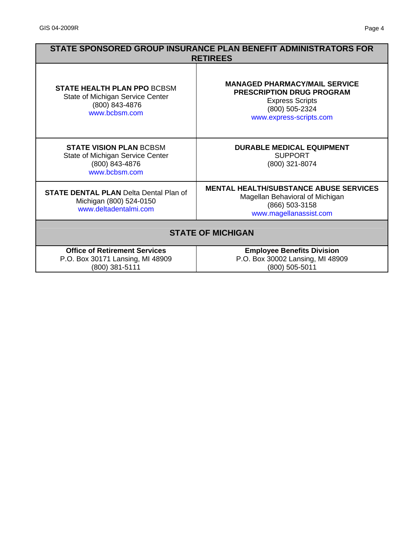| STATE SPONSORED GROUP INSURANCE PLAN BENEFIT ADMINISTRATORS FOR<br><b>RETIREES</b>                        |                                                                                                                                                 |
|-----------------------------------------------------------------------------------------------------------|-------------------------------------------------------------------------------------------------------------------------------------------------|
| <b>STATE HEALTH PLAN PPO BCBSM</b><br>State of Michigan Service Center<br>(800) 843-4876<br>www.bcbsm.com | <b>MANAGED PHARMACY/MAIL SERVICE</b><br><b>PRESCRIPTION DRUG PROGRAM</b><br><b>Express Scripts</b><br>(800) 505-2324<br>www.express-scripts.com |
| <b>STATE VISION PLAN BCBSM</b><br>State of Michigan Service Center<br>(800) 843-4876<br>www.bcbsm.com     | <b>DURABLE MEDICAL EQUIPMENT</b><br><b>SUPPORT</b><br>(800) 321-8074                                                                            |
| <b>STATE DENTAL PLAN Delta Dental Plan of</b><br>Michigan (800) 524-0150<br>www.deltadentalmi.com         | <b>MENTAL HEALTH/SUBSTANCE ABUSE SERVICES</b><br>Magellan Behavioral of Michigan<br>(866) 503-3158<br>www.magellanassist.com                    |
| <b>STATE OF MICHIGAN</b>                                                                                  |                                                                                                                                                 |
| <b>Office of Retirement Services</b><br>P.O. Box 30171 Lansing, MI 48909<br>(800) 381-5111                | <b>Employee Benefits Division</b><br>P.O. Box 30002 Lansing, MI 48909<br>(800) 505-5011                                                         |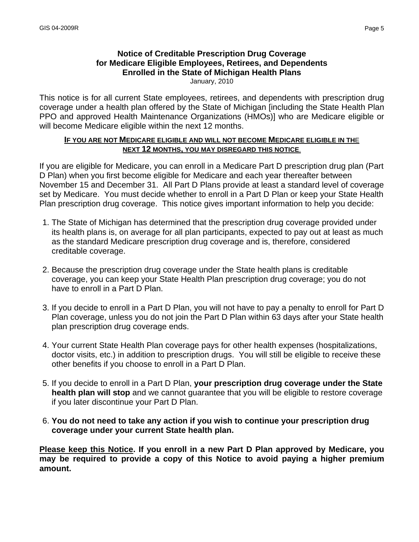# **Notice of Creditable Prescription Drug Coverage for Medicare Eligible Employees, Retirees, and Dependents Enrolled in the State of Michigan Health Plans**

January, 2010

This notice is for all current State employees, retirees, and dependents with prescription drug coverage under a health plan offered by the State of Michigan [including the State Health Plan PPO and approved Health Maintenance Organizations (HMOs)] who are Medicare eligible or will become Medicare eligible within the next 12 months.

#### **IF YOU ARE NOT MEDICARE ELIGIBLE AND WILL NOT BECOME MEDICARE ELIGIBLE IN TH**E **NEXT 12 MONTHS, YOU MAY DISREGARD THIS NOTICE**.

If you are eligible for Medicare, you can enroll in a Medicare Part D prescription drug plan (Part D Plan) when you first become eligible for Medicare and each year thereafter between November 15 and December 31. All Part D Plans provide at least a standard level of coverage set by Medicare. You must decide whether to enroll in a Part D Plan or keep your State Health Plan prescription drug coverage. This notice gives important information to help you decide:

- 1. The State of Michigan has determined that the prescription drug coverage provided under its health plans is, on average for all plan participants, expected to pay out at least as much as the standard Medicare prescription drug coverage and is, therefore, considered creditable coverage.
- 2. Because the prescription drug coverage under the State health plans is creditable coverage, you can keep your State Health Plan prescription drug coverage; you do not have to enroll in a Part D Plan.
- 3. If you decide to enroll in a Part D Plan, you will not have to pay a penalty to enroll for Part D Plan coverage, unless you do not join the Part D Plan within 63 days after your State health plan prescription drug coverage ends.
- 4. Your current State Health Plan coverage pays for other health expenses (hospitalizations, doctor visits, etc.) in addition to prescription drugs. You will still be eligible to receive these other benefits if you choose to enroll in a Part D Plan.
- 5. If you decide to enroll in a Part D Plan, **your prescription drug coverage under the State health plan will stop** and we cannot guarantee that you will be eligible to restore coverage if you later discontinue your Part D Plan.
- 6. **You do not need to take any action if you wish to continue your prescription drug coverage under your current State health plan.**

**Please keep this Notice. If you enroll in a new Part D Plan approved by Medicare, you may be required to provide a copy of this Notice to avoid paying a higher premium amount.**